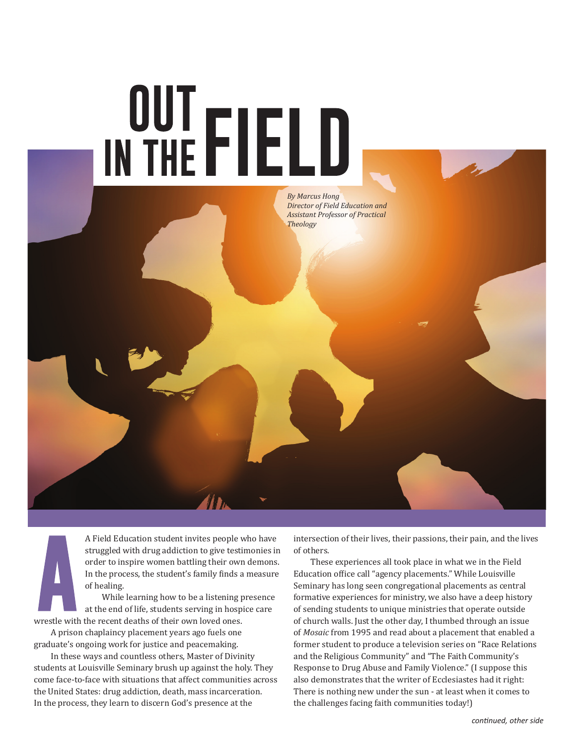

A Field Education student invites people who have struggled with drug addiction to give testimonies in order to inspire women battling their own demons. In the process, the student's family finds a measure of healing.

While learning how to be a listening presence at the end of life, students serving in hospice care wrestle with the recent deaths of their own loved ones.

A prison chaplaincy placement years ago fuels one graduate's ongoing work for justice and peacemaking.

In these ways and countless others, Master of Divinity students at Louisville Seminary brush up against the holy. They come face-to-face with situations that affect communities across the United States: drug addiction, death, mass incarceration. In the process, they learn to discern God's presence at the

intersection of their lives, their passions, their pain, and the lives of others.

These experiences all took place in what we in the Field Education office call "agency placements." While Louisville Seminary has long seen congregational placements as central formative experiences for ministry, we also have a deep history of sending students to unique ministries that operate outside of church walls. Just the other day, I thumbed through an issue of *Mosaic* from 1995 and read about a placement that enabled a former student to produce a television series on "Race Relations and the Religious Community" and "The Faith Community's Response to Drug Abuse and Family Violence." (I suppose this also demonstrates that the writer of Ecclesiastes had it right: There is nothing new under the sun - at least when it comes to the challenges facing faith communities today!)